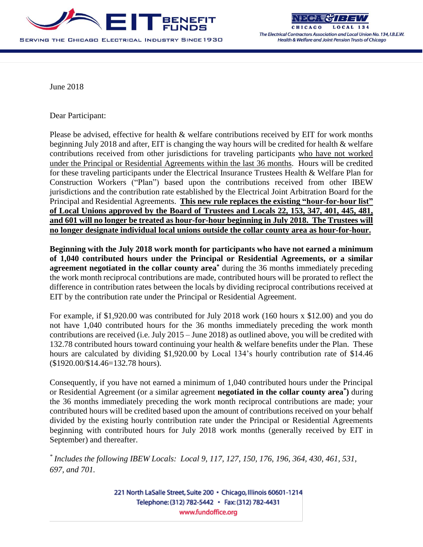

**HICAGO** The Electrical Contractors Association and Local Union No. 134, I.B.E.W. Health & Welfare and Joint Pension Trusts of Chicago

June 2018

Dear Participant:

Please be advised, effective for health & welfare contributions received by EIT for work months beginning July 2018 and after, EIT is changing the way hours will be credited for health & welfare contributions received from other jurisdictions for traveling participants who have not worked under the Principal or Residential Agreements within the last 36 months. Hours will be credited for these traveling participants under the Electrical Insurance Trustees Health & Welfare Plan for Construction Workers ("Plan") based upon the contributions received from other IBEW jurisdictions and the contribution rate established by the Electrical Joint Arbitration Board for the Principal and Residential Agreements. **This new rule replaces the existing "hour-for-hour list" of Local Unions approved by the Board of Trustees and Locals 22, 153, 347, 401, 445, 481, and 601 will no longer be treated as hour-for-hour beginning in July 2018. The Trustees will no longer designate individual local unions outside the collar county area as hour-for-hour.** 

**Beginning with the July 2018 work month for participants who have not earned a minimum of 1,040 contributed hours under the Principal or Residential Agreements, or a similar agreement negotiated in the collar county area\*** during the 36 months immediately preceding the work month reciprocal contributions are made, contributed hours will be prorated to reflect the difference in contribution rates between the locals by dividing reciprocal contributions received at EIT by the contribution rate under the Principal or Residential Agreement.

For example, if \$1,920.00 was contributed for July 2018 work (160 hours x \$12.00) and you do not have 1,040 contributed hours for the 36 months immediately preceding the work month contributions are received (i.e. July 2015 – June 2018) as outlined above, you will be credited with 132.78 contributed hours toward continuing your health & welfare benefits under the Plan. These hours are calculated by dividing \$1,920.00 by Local 134's hourly contribution rate of \$14.46 (\$1920.00/\$14.46=132.78 hours).

Consequently, if you have not earned a minimum of 1,040 contributed hours under the Principal or Residential Agreement (or a similar agreement **negotiated in the collar county area\* )** during the 36 months immediately preceding the work month reciprocal contributions are made; your contributed hours will be credited based upon the amount of contributions received on your behalf divided by the existing hourly contribution rate under the Principal or Residential Agreements beginning with contributed hours for July 2018 work months (generally received by EIT in September) and thereafter.

*\* Includes the following IBEW Locals: Local 9, 117, 127, 150, 176, 196, 364, 430, 461, 531, 697, and 701.*

> 221 North LaSalle Street, Suite 200 · Chicago, Illinois 60601-1214 Telephone: (312) 782-5442 · Fax: (312) 782-4431 www.fundoffice.org